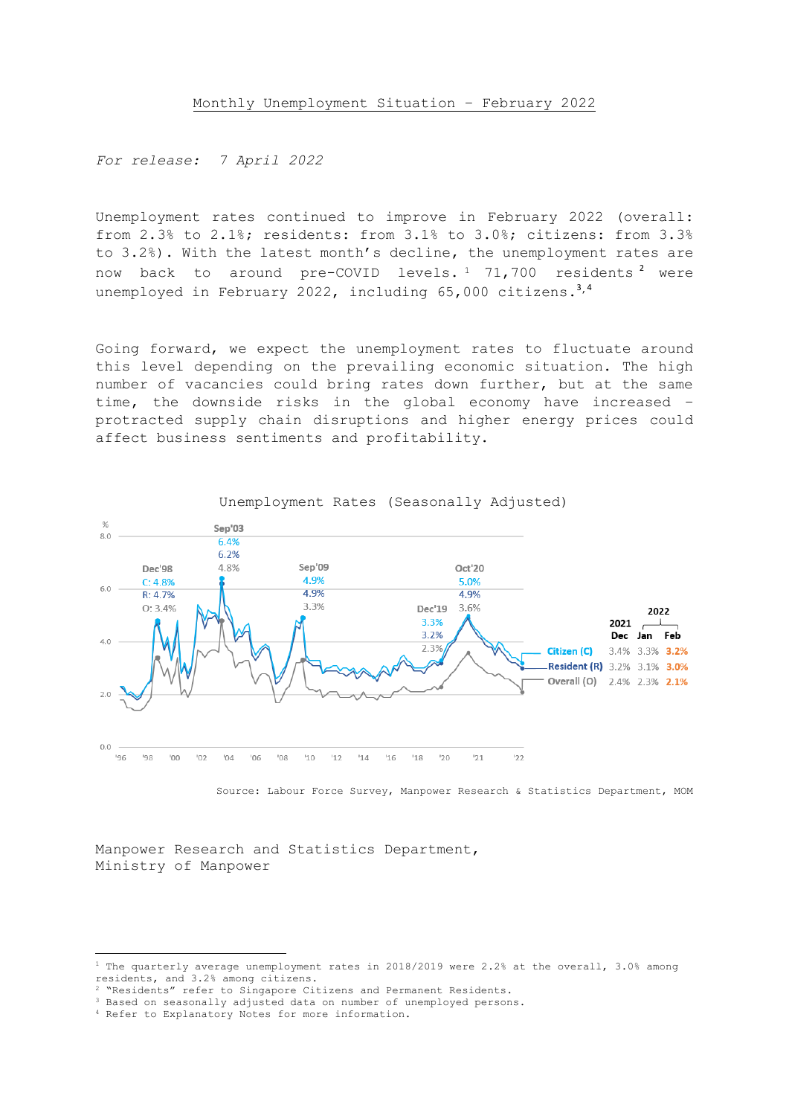*For release: 7 April 2022*

Unemployment rates continued to improve in February 2022 (overall: from 2.3% to 2.1%; residents: from 3.1% to 3.0%; citizens: from 3.3% to 3.2%). With the latest month's decline, the unemployment rates are now back to around pre-COVID levels.<sup>1</sup> 71,700 residents<sup>2</sup> were unemployed in February 2022, including 65,000 citizens.<sup>3,4</sup>

Going forward, we expect the unemployment rates to fluctuate around this level depending on the prevailing economic situation. The high number of vacancies could bring rates down further, but at the same time, the downside risks in the global economy have increased – protracted supply chain disruptions and higher energy prices could affect business sentiments and profitability.



Source: Labour Force Survey, Manpower Research & Statistics Department, MOM

Manpower Research and Statistics Department, Ministry of Manpower

<sup>&</sup>lt;sup>1</sup> The quarterly average unemployment rates in 2018/2019 were 2.2% at the overall, 3.0% among residents, and 3.2% among citizens.

<sup>&</sup>quot;Residents" refer to Singapore Citizens and Permanent Residents.

<sup>&</sup>lt;sup>3</sup> Based on seasonally adjusted data on number of unemployed persons.

<sup>4</sup> Refer to Explanatory Notes for more information.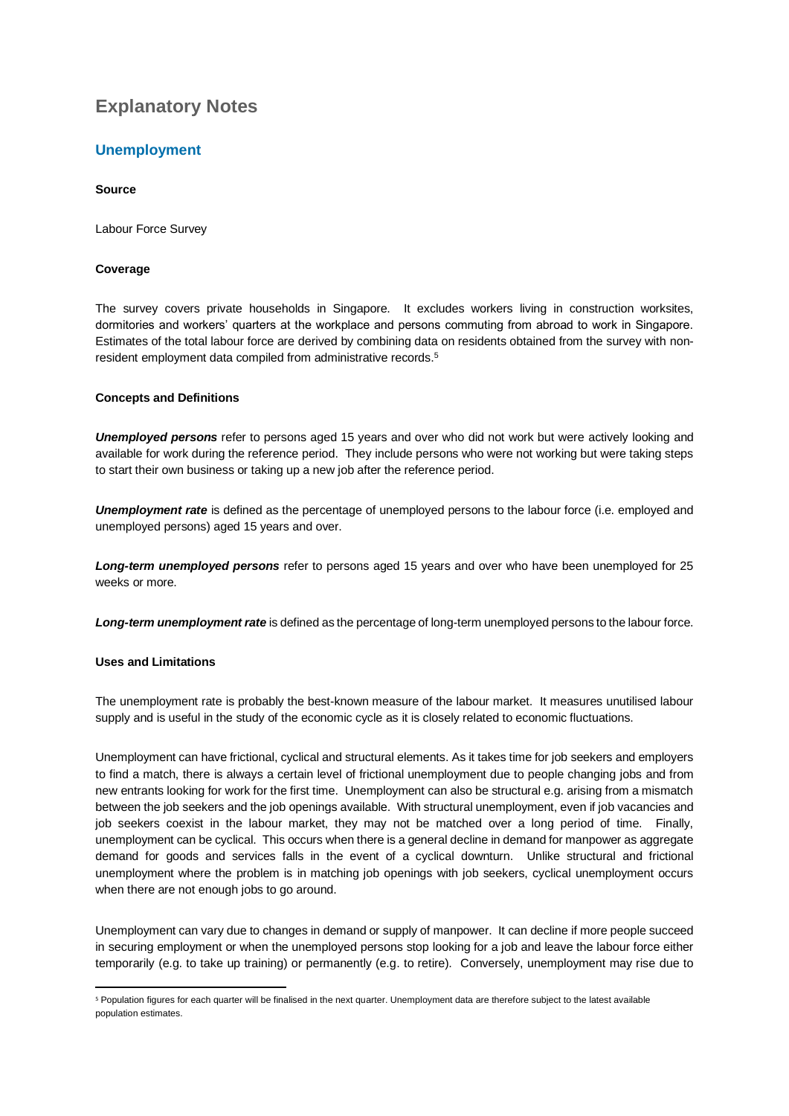# **Explanatory Notes**

# **Unemployment**

# **Source**

Labour Force Survey

# **Coverage**

The survey covers private households in Singapore. It excludes workers living in construction worksites, dormitories and workers' quarters at the workplace and persons commuting from abroad to work in Singapore. Estimates of the total labour force are derived by combining data on residents obtained from the survey with nonresident employment data compiled from administrative records.<sup>5</sup>

# **Concepts and Definitions**

*Unemployed persons* refer to persons aged 15 years and over who did not work but were actively looking and available for work during the reference period. They include persons who were not working but were taking steps to start their own business or taking up a new job after the reference period.

*Unemployment rate* is defined as the percentage of unemployed persons to the labour force (i.e. employed and unemployed persons) aged 15 years and over.

*Long-term unemployed persons* refer to persons aged 15 years and over who have been unemployed for 25 weeks or more.

*Long-term unemployment rate* is defined as the percentage of long-term unemployed persons to the labour force.

# **Uses and Limitations**

The unemployment rate is probably the best-known measure of the labour market. It measures unutilised labour supply and is useful in the study of the economic cycle as it is closely related to economic fluctuations.

Unemployment can have frictional, cyclical and structural elements. As it takes time for job seekers and employers to find a match, there is always a certain level of frictional unemployment due to people changing jobs and from new entrants looking for work for the first time. Unemployment can also be structural e.g. arising from a mismatch between the job seekers and the job openings available. With structural unemployment, even if job vacancies and job seekers coexist in the labour market, they may not be matched over a long period of time. Finally, unemployment can be cyclical. This occurs when there is a general decline in demand for manpower as aggregate demand for goods and services falls in the event of a cyclical downturn. Unlike structural and frictional unemployment where the problem is in matching job openings with job seekers, cyclical unemployment occurs when there are not enough jobs to go around.

Unemployment can vary due to changes in demand or supply of manpower. It can decline if more people succeed in securing employment or when the unemployed persons stop looking for a job and leave the labour force either temporarily (e.g. to take up training) or permanently (e.g. to retire). Conversely, unemployment may rise due to

<sup>5</sup> Population figures for each quarter will be finalised in the next quarter. Unemployment data are therefore subject to the latest available population estimates.